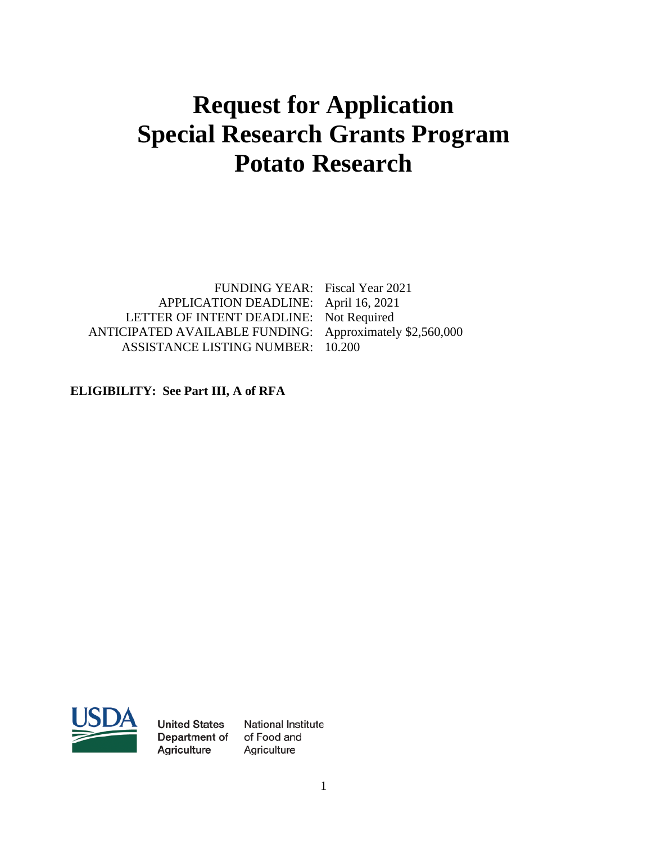# **Request for Application Special Research Grants Program Potato Research**

APPLICATION DEADLINE: April 16, 2021 LETTER OF INTENT DEADLINE: Not Required ANTICIPATED AVAILABLE FUNDING: Approximately \$2,560,000 ASSISTANCE LISTING NUMBER: 10.200

FUNDING YEAR: Fiscal Year 2021

**ELIGIBILITY: See Part III, A of RFA**



**United States** Department of Agriculture

National Institute of Food and Agriculture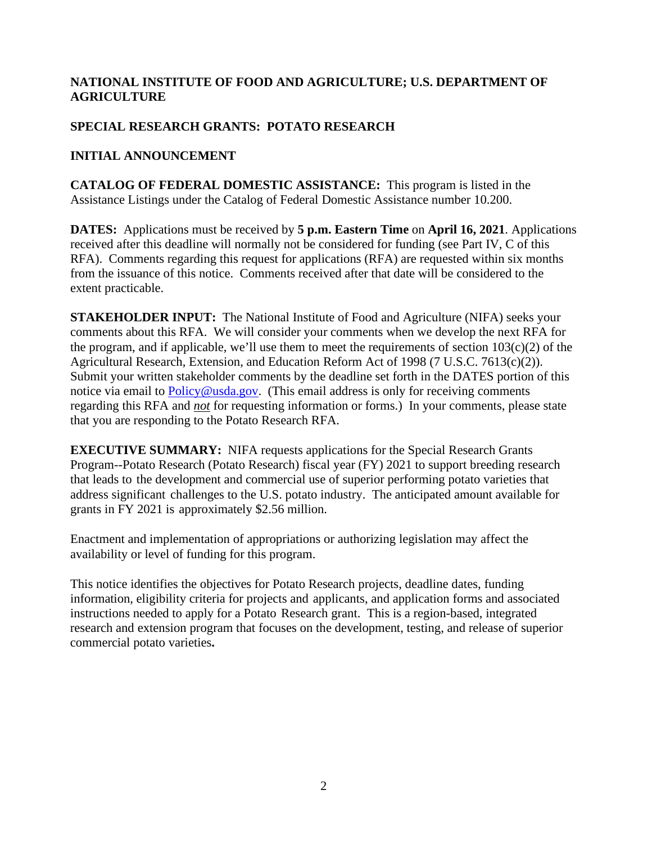# **NATIONAL INSTITUTE OF FOOD AND AGRICULTURE; U.S. DEPARTMENT OF AGRICULTURE**

# **SPECIAL RESEARCH GRANTS: POTATO RESEARCH**

# **INITIAL ANNOUNCEMENT**

**CATALOG OF FEDERAL DOMESTIC ASSISTANCE:** This program is listed in the Assistance Listings under the Catalog of Federal Domestic Assistance number 10.200.

**DATES:** Applications must be received by **5 p.m. Eastern Time** on **April 16, 2021**. Applications received after this deadline will normally not be considered for funding (see Part IV, C of this RFA). Comments regarding this request for applications (RFA) are requested within six months from the issuance of this notice. Comments received after that date will be considered to the extent practicable.

**STAKEHOLDER INPUT:** The National Institute of Food and Agriculture (NIFA) seeks your comments about this RFA. We will consider your comments when we develop the next RFA for the program, and if applicable, we'll use them to meet the requirements of section  $103(c)(2)$  of the Agricultural Research, Extension, and Education Reform Act of 1998 (7 U.S.C. 7613(c)(2)). Submit your written stakeholder comments by the deadline set forth in the DATES portion of this notice via email to  $Policy@usda.gov$ . (This email address is only for receiving comments regarding this RFA and *not* for requesting information or forms.) In your comments, please state that you are responding to the Potato Research RFA.

**EXECUTIVE SUMMARY:** NIFA requests applications for the Special Research Grants Program--Potato Research (Potato Research) fiscal year (FY) 2021 to support breeding research that leads to the development and commercial use of superior performing potato varieties that address significant challenges to the U.S. potato industry. The anticipated amount available for grants in FY 2021 is approximately \$2.56 million.

Enactment and implementation of appropriations or authorizing legislation may affect the availability or level of funding for this program.

This notice identifies the objectives for Potato Research projects, deadline dates, funding information, eligibility criteria for projects and applicants, and application forms and associated instructions needed to apply for a Potato Research grant. This is a region-based, integrated research and extension program that focuses on the development, testing, and release of superior commercial potato varieties**.**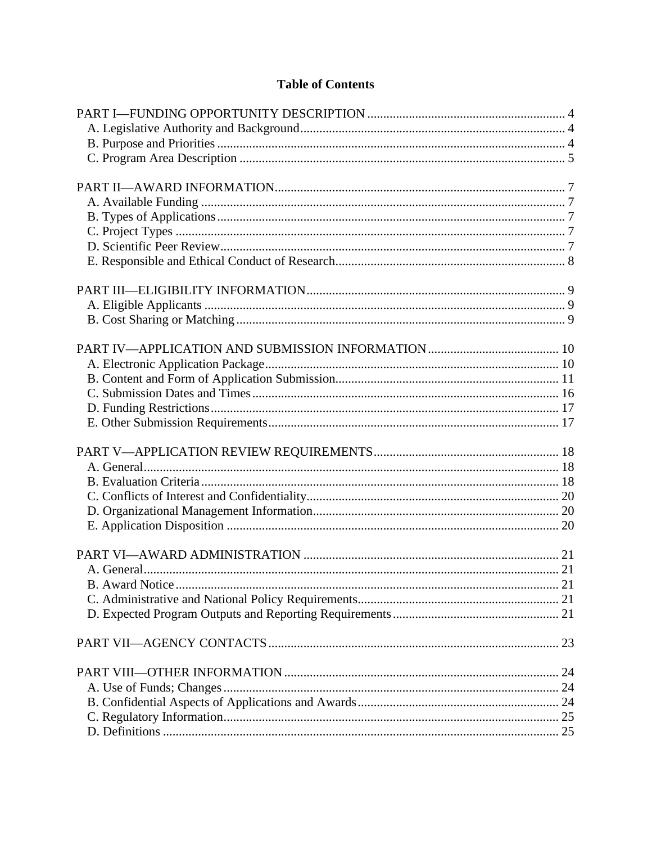# **Table of Contents**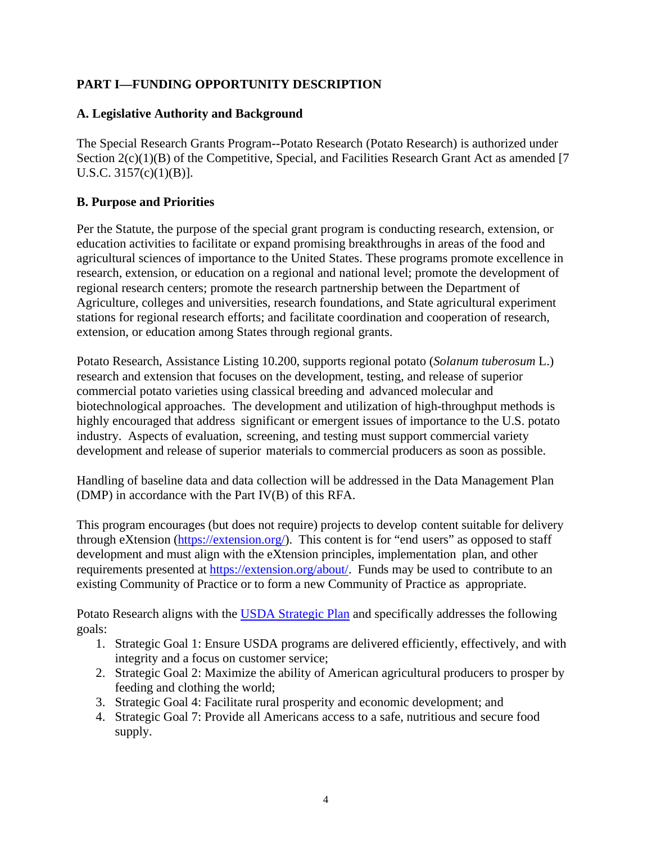# <span id="page-3-0"></span>**PART I—FUNDING OPPORTUNITY DESCRIPTION**

#### <span id="page-3-1"></span>**A. Legislative Authority and Background**

The Special Research Grants Program--Potato Research (Potato Research) is authorized under Section 2(c)(1)(B) of the Competitive, Special, and Facilities Research Grant Act as amended [7] U.S.C. 3157(c)(1)(B)].

## <span id="page-3-2"></span>**B. Purpose and Priorities**

Per the Statute, the purpose of the special grant program is conducting research, extension, or education activities to facilitate or expand promising breakthroughs in areas of the food and agricultural sciences of importance to the United States. These programs promote excellence in research, extension, or education on a regional and national level; promote the development of regional research centers; promote the research partnership between the Department of Agriculture, colleges and universities, research foundations, and State agricultural experiment stations for regional research efforts; and facilitate coordination and cooperation of research, extension, or education among States through regional grants.

Potato Research, Assistance Listing 10.200, supports regional potato (*Solanum tuberosum* L.) research and extension that focuses on the development, testing, and release of superior commercial potato varieties using classical breeding and advanced molecular and biotechnological approaches. The development and utilization of high-throughput methods is highly encouraged that address significant or emergent issues of importance to the U.S. potato industry. Aspects of evaluation, screening, and testing must support commercial variety development and release of superior materials to commercial producers as soon as possible.

Handling of baseline data and data collection will be addressed in the Data Management Plan (DMP) in accordance with the Part IV(B) of this RFA.

This program encourages (but does not require) projects to develop content suitable for delivery through eXtension [\(https://extension.org/\)](https://extension.org/). This content is for "end users" as opposed to staff development and must align with the eXtension principles, implementation plan, and other requirements presented at [https://extension.org/about/.](https://extension.org/about/) Funds may be used to contribute to an existing Community of Practice or to form a new Community of Practice as appropriate.

Potato Research aligns with the [USDA Strategic Plan](https://www.usda.gov/our-agency/about-usda/strategic-goals) and specifically addresses the following goals:

- 1. Strategic Goal 1: Ensure USDA programs are delivered efficiently, effectively, and with integrity and a focus on customer service;
- 2. Strategic Goal 2: Maximize the ability of American agricultural producers to prosper by feeding and clothing the world;
- 3. Strategic Goal 4: Facilitate rural prosperity and economic development; and
- 4. Strategic Goal 7: Provide all Americans access to a safe, nutritious and secure food supply.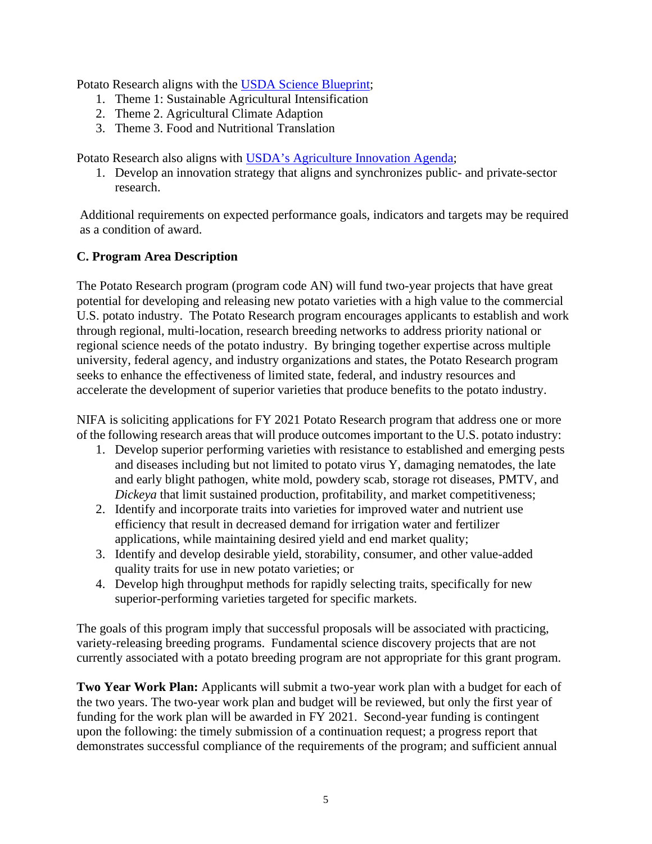Potato Research aligns with the [USDA Science Blueprint;](https://www.usda.gov/sites/default/files/documents/usda-science-blueprint.pdf)

- 1. Theme 1: Sustainable Agricultural Intensification
- 2. Theme 2. Agricultural Climate Adaption
- 3. Theme 3. Food and Nutritional Translation

Potato Research also aligns with [USDA's Agriculture Innovation Agenda;](https://www.usda.gov/aia)

1. Develop an innovation strategy that aligns and synchronizes public- and private-sector research.

Additional requirements on expected performance goals, indicators and targets may be required as a condition of award.

# <span id="page-4-0"></span>**C. Program Area Description**

The Potato Research program (program code AN) will fund two-year projects that have great potential for developing and releasing new potato varieties with a high value to the commercial U.S. potato industry. The Potato Research program encourages applicants to establish and work through regional, multi-location, research breeding networks to address priority national or regional science needs of the potato industry. By bringing together expertise across multiple university, federal agency, and industry organizations and states, the Potato Research program seeks to enhance the effectiveness of limited state, federal, and industry resources and accelerate the development of superior varieties that produce benefits to the potato industry.

NIFA is soliciting applications for FY 2021 Potato Research program that address one or more of the following research areas that will produce outcomes important to the U.S. potato industry:

- 1. Develop superior performing varieties with resistance to established and emerging pests and diseases including but not limited to potato virus Y, damaging nematodes, the late and early blight pathogen, white mold, powdery scab, storage rot diseases, PMTV, and *Dickeya* that limit sustained production, profitability, and market competitiveness;
- 2. Identify and incorporate traits into varieties for improved water and nutrient use efficiency that result in decreased demand for irrigation water and fertilizer applications, while maintaining desired yield and end market quality;
- 3. Identify and develop desirable yield, storability, consumer, and other value-added quality traits for use in new potato varieties; or
- 4. Develop high throughput methods for rapidly selecting traits, specifically for new superior-performing varieties targeted for specific markets.

The goals of this program imply that successful proposals will be associated with practicing, variety-releasing breeding programs. Fundamental science discovery projects that are not currently associated with a potato breeding program are not appropriate for this grant program.

**Two Year Work Plan:** Applicants will submit a two-year work plan with a budget for each of the two years. The two-year work plan and budget will be reviewed, but only the first year of funding for the work plan will be awarded in FY 2021. Second-year funding is contingent upon the following: the timely submission of a continuation request; a progress report that demonstrates successful compliance of the requirements of the program; and sufficient annual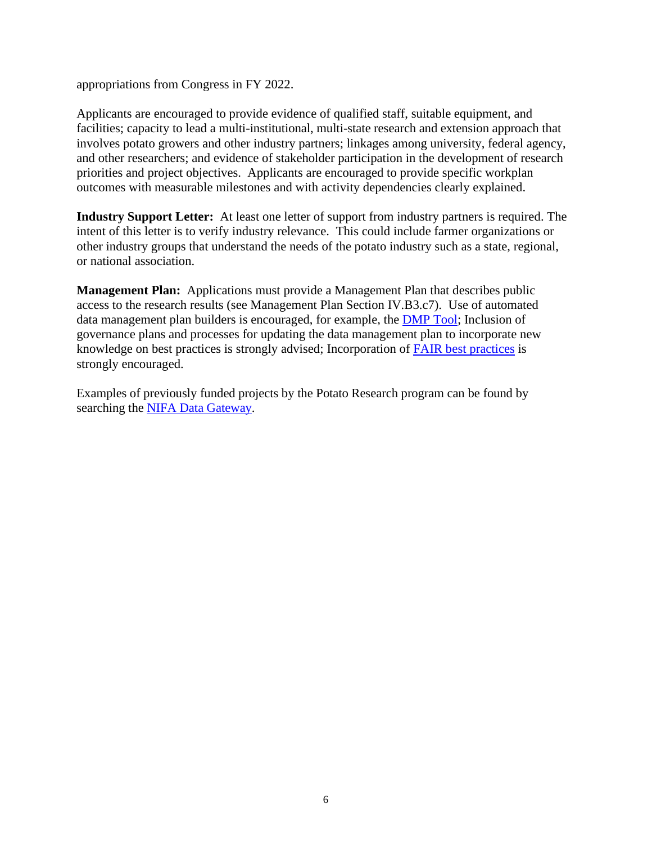appropriations from Congress in FY 2022.

Applicants are encouraged to provide evidence of qualified staff, suitable equipment, and facilities; capacity to lead a multi-institutional, multi-state research and extension approach that involves potato growers and other industry partners; linkages among university, federal agency, and other researchers; and evidence of stakeholder participation in the development of research priorities and project objectives. Applicants are encouraged to provide specific workplan outcomes with measurable milestones and with activity dependencies clearly explained.

**Industry Support Letter:** At least one letter of support from industry partners is required. The intent of this letter is to verify industry relevance. This could include farmer organizations or other industry groups that understand the needs of the potato industry such as a state, regional, or national association.

**Management Plan:** Applications must provide a Management Plan that describes public access to the research results (see Management Plan Section IV.B3.c7). Use of automated data management plan builders is encouraged, for example, the [DMP](https://gcc02.safelinks.protection.outlook.com/?url=https%3A%2F%2Fdmptool.org%2F&data=02%7C01%7C%7Cb33a6037454e417f373808d864c13b83%7Ced5b36e701ee4ebc867ee03cfa0d4697%7C0%7C0%7C637370128370592529&sdata=K542%2Bas74HYM00XV1g39WGVRPNN%2F5loHSalzKKoi2QU%3D&reserved=0) Tool; Inclusion of governance plans and processes for updating the data management plan to incorporate new knowledge on best practices is strongly advised; Incorporation of FAIR best [practices](https://gcc02.safelinks.protection.outlook.com/?url=https%3A%2F%2Fwww.go-fair.org%2Ffair-principles%2F&data=02%7C01%7C%7Cb33a6037454e417f373808d864c13b83%7Ced5b36e701ee4ebc867ee03cfa0d4697%7C0%7C0%7C637370128370602482&sdata=coi8LAgjh5SnzSKWFunzcaNBTxov8p0G5w4Q4PhO3ZI%3D&reserved=0) is strongly encouraged.

<span id="page-5-0"></span>Examples of previously funded projects by the Potato Research program can be found by searching the [NIFA Data Gateway.](https://portal.nifa.usda.gov/enterprise-search/?client=reeis_facet&filter=0&from_site=NIFA&getfields=Progress+Year.Knowledge+Area.Science.Subject.Type.Keywords.FDC.State.Grantee+Type.Project+Type.Sponsoring+Agency.Award+Amount+Range.Grant+Award+Year&output=xml_no_dtd&proxystylesheet=reeis_facet&q=&site=CRIS_FACETS)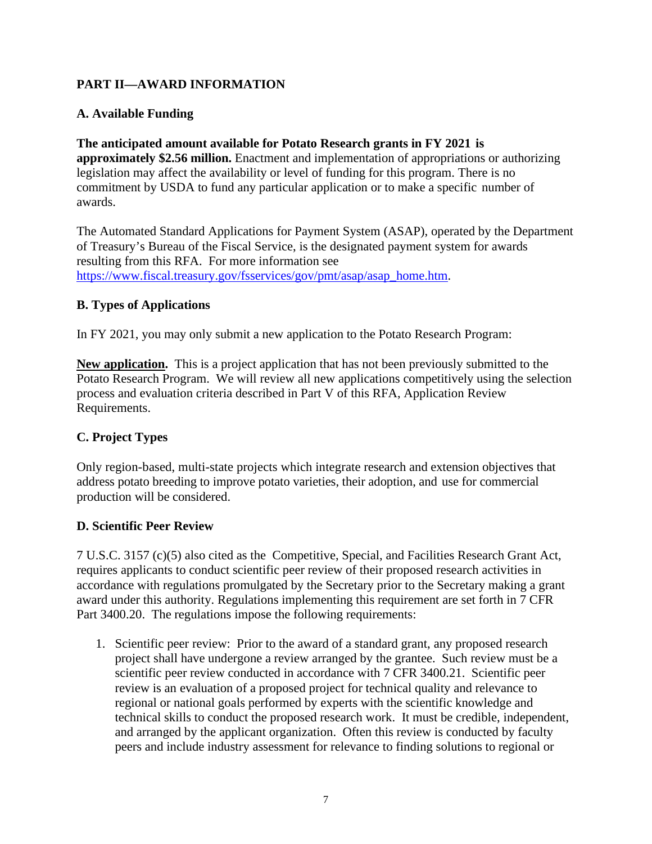# **PART II—AWARD INFORMATION**

# <span id="page-6-0"></span>**A. Available Funding**

#### **The anticipated amount available for Potato Research grants in FY 2021 is approximately \$2.56 million.** Enactment and implementation of appropriations or authorizing legislation may affect the availability or level of funding for this program. There is no commitment by USDA to fund any particular application or to make a specific number of awards.

The Automated Standard Applications for Payment System (ASAP), operated by the Department of Treasury's Bureau of the Fiscal Service, is the designated payment system for awards resulting from this RFA. For more information see [https://www.fiscal.treasury.gov/fsservices/gov/pmt/asap/asap\\_home.htm.](https://www.fiscal.treasury.gov/fsservices/gov/pmt/asap/asap_home.htm)

# <span id="page-6-1"></span>**B. Types of Applications**

In FY 2021, you may only submit a new application to the Potato Research Program:

**New application.** This is a project application that has not been previously submitted to the Potato Research Program. We will review all new applications competitively using the selection process and evaluation criteria described in Part V of this RFA, Application Review Requirements.

# <span id="page-6-2"></span>**C. Project Types**

Only region-based, multi-state projects which integrate research and extension objectives that address potato breeding to improve potato varieties, their adoption, and use for commercial production will be considered.

# <span id="page-6-3"></span>**D. Scientific Peer Review**

7 U.S.C. 3157 (c)(5) also cited as the Competitive, Special, and Facilities Research Grant Act, requires applicants to conduct scientific peer review of their proposed research activities in accordance with regulations promulgated by the Secretary prior to the Secretary making a grant award under this authority. Regulations implementing this requirement are set forth in 7 CFR Part 3400.20. The regulations impose the following requirements:

1. Scientific peer review: Prior to the award of a standard grant, any proposed research project shall have undergone a review arranged by the grantee. Such review must be a scientific peer review conducted in accordance with 7 CFR 3400.21. Scientific peer review is an evaluation of a proposed project for technical quality and relevance to regional or national goals performed by experts with the scientific knowledge and technical skills to conduct the proposed research work. It must be credible, independent, and arranged by the applicant organization. Often this review is conducted by faculty peers and include industry assessment for relevance to finding solutions to regional or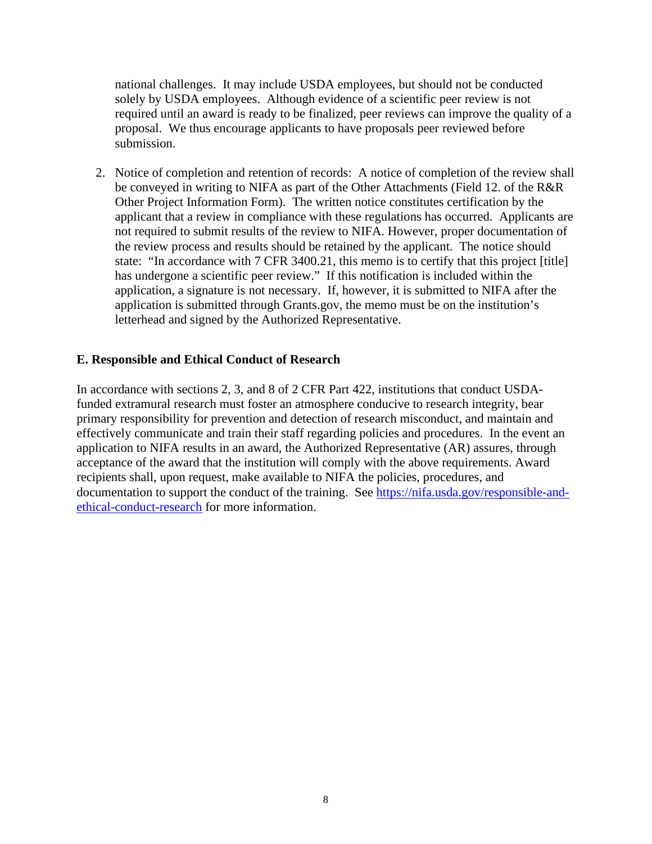national challenges. It may include USDA employees, but should not be conducted solely by USDA employees. Although evidence of a scientific peer review is not required until an award is ready to be finalized, peer reviews can improve the quality of a proposal. We thus encourage applicants to have proposals peer reviewed before submission.

2. Notice of completion and retention of records: A notice of completion of the review shall be conveyed in writing to NIFA as part of the Other Attachments (Field 12. of the R&R Other Project Information Form). The written notice constitutes certification by the applicant that a review in compliance with these regulations has occurred. Applicants are not required to submit results of the review to NIFA. However, proper documentation of the review process and results should be retained by the applicant. The notice should state: "In accordance with 7 CFR 3400.21, this memo is to certify that this project [title] has undergone a scientific peer review." If this notification is included within the application, a signature is not necessary. If, however, it is submitted to NIFA after the application is submitted through Grants.gov, the memo must be on the institution's letterhead and signed by the Authorized Representative.

#### <span id="page-7-0"></span>**E. Responsible and Ethical Conduct of Research**

In accordance with sections 2, 3, and 8 of 2 CFR Part 422, institutions that conduct USDAfunded extramural research must foster an atmosphere conducive to research integrity, bear primary responsibility for prevention and detection of research misconduct, and maintain and effectively communicate and train their staff regarding policies and procedures. In the event an application to NIFA results in an award, the Authorized Representative (AR) assures, through acceptance of the award that the institution will comply with the above requirements. Award recipients shall, upon request, make available to NIFA the policies, procedures, and documentation to support the conduct of the training. See [https://nifa.usda.gov/responsible-and](https://nifa.usda.gov/responsible-and-ethical-conduct-research)[ethical-conduct-research](https://nifa.usda.gov/responsible-and-ethical-conduct-research) for more information.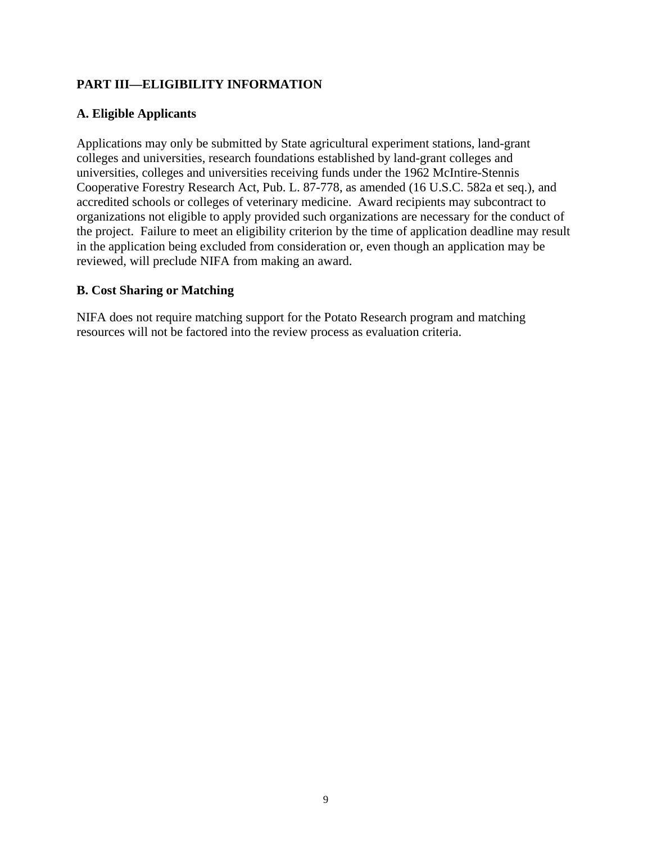# <span id="page-8-0"></span>**PART III—ELIGIBILITY INFORMATION**

# <span id="page-8-1"></span>**A. Eligible Applicants**

Applications may only be submitted by State agricultural experiment stations, land-grant colleges and universities, research foundations established by land-grant colleges and universities, colleges and universities receiving funds under the 1962 McIntire-Stennis Cooperative Forestry Research Act, Pub. L. 87-778, as amended (16 U.S.C. 582a et seq.), and accredited schools or colleges of veterinary medicine. Award recipients may subcontract to organizations not eligible to apply provided such organizations are necessary for the conduct of the project. Failure to meet an eligibility criterion by the time of application deadline may result in the application being excluded from consideration or, even though an application may be reviewed, will preclude NIFA from making an award.

#### <span id="page-8-2"></span>**B. Cost Sharing or Matching**

NIFA does not require matching support for the Potato Research program and matching resources will not be factored into the review process as evaluation criteria.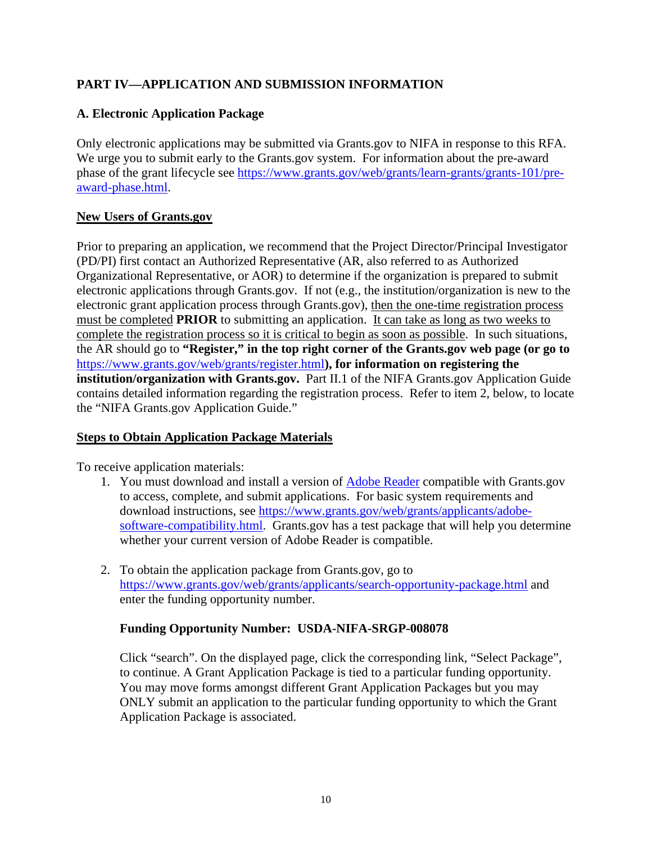# <span id="page-9-0"></span>**PART IV—APPLICATION AND SUBMISSION INFORMATION**

# <span id="page-9-1"></span>**A. Electronic Application Package**

Only electronic applications may be submitted via Grants.gov to NIFA in response to this RFA. We urge you to submit early to the Grants.gov system. For information about the pre-award phase of the grant lifecycle see [https://www.grants.gov/web/grants/learn-grants/grants-101/pre](https://www.grants.gov/web/grants/learn-grants/grants-101/pre-award-phase.html)[award-phase.html.](https://www.grants.gov/web/grants/learn-grants/grants-101/pre-award-phase.html)

# **New Users of Grants.gov**

Prior to preparing an application, we recommend that the Project Director/Principal Investigator (PD/PI) first contact an Authorized Representative (AR, also referred to as Authorized Organizational Representative, or AOR) to determine if the organization is prepared to submit electronic applications through Grants.gov. If not (e.g., the institution/organization is new to the electronic grant application process through Grants.gov), then the one-time registration process must be completed **PRIOR** to submitting an application. It can take as long as two weeks to complete the registration process so it is critical to begin as soon as possible. In such situations, the AR should go to **"Register," in the top right corner of the Grants.gov web page (or go to**  <https://www.grants.gov/web/grants/register.html>**), for information on registering the institution/organization with Grants.gov.** Part II.1 of the NIFA Grants.gov Application Guide contains detailed information regarding the registration process. Refer to item 2, below, to locate the "NIFA Grants.gov Application Guide."

# **Steps to Obtain Application Package Materials**

To receive application materials:

- 1. You must download and install a version of [Adobe Reader](https://get.adobe.com/reader/) compatible with Grants.gov to access, complete, and submit applications. For basic system requirements and download instructions, see [https://www.grants.gov/web/grants/applicants/adobe](https://www.grants.gov/web/grants/applicants/adobe-software-compatibility.html)[software-compatibility.html.](https://www.grants.gov/web/grants/applicants/adobe-software-compatibility.html) Grants.gov has a test package that will help you determine whether your current version of Adobe Reader is compatible.
- 2. To obtain the application package from Grants.gov, go to <https://www.grants.gov/web/grants/applicants/search-opportunity-package.html> and enter the funding opportunity number.

# **Funding Opportunity Number: USDA-NIFA-SRGP-008078**

Click "search". On the displayed page, click the corresponding link, "Select Package", to continue. A Grant Application Package is tied to a particular funding opportunity. You may move forms amongst different Grant Application Packages but you may ONLY submit an application to the particular funding opportunity to which the Grant Application Package is associated.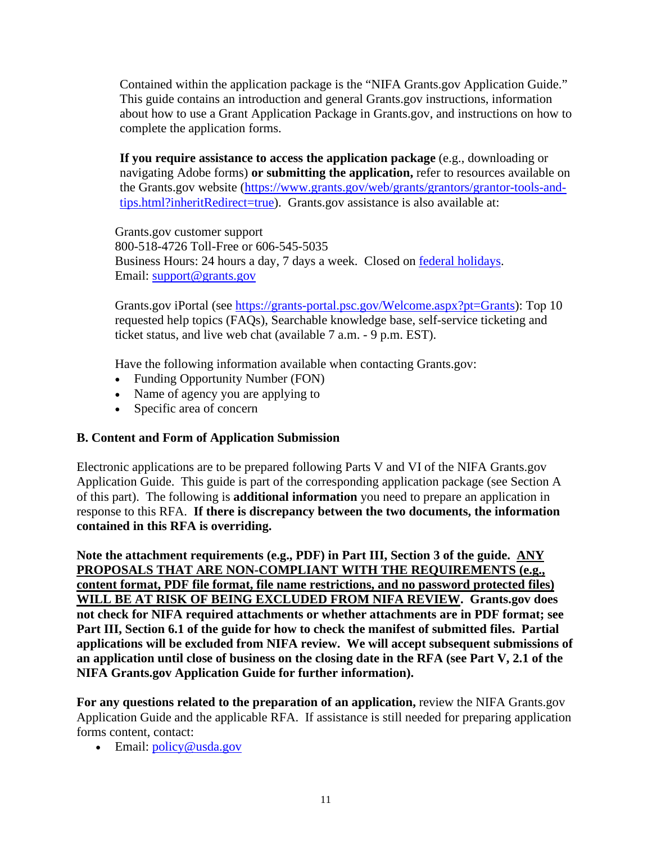Contained within the application package is the "NIFA Grants.gov Application Guide." This guide contains an introduction and general Grants.gov instructions, information about how to use a Grant Application Package in Grants.gov, and instructions on how to complete the application forms.

**If you require assistance to access the application package** (e.g., downloading or navigating Adobe forms) **or submitting the application,** refer to resources available on the Grants.gov website [\(https://www.grants.gov/web/grants/grantors/grantor-tools-and](https://www.grants.gov/web/grants/grantors/grantor-tools-and-tips.html?inheritRedirect=true)[tips.html?inheritRedirect=true\)](https://www.grants.gov/web/grants/grantors/grantor-tools-and-tips.html?inheritRedirect=true). Grants.gov assistance is also available at:

Grants.gov customer support 800-518-4726 Toll-Free or 606-545-5035 Business Hours: 24 hours a day, 7 days a week. Closed on [federal holidays.](http://www.opm.gov/policy-data-oversight/snow-dismissal-procedures/federal-holidays/) Email: [support@grants.gov](mailto:support@grants.gov)

Grants.gov iPortal (see [https://grants-portal.psc.gov/Welcome.aspx?pt=Grants\)](https://grants-portal.psc.gov/Welcome.aspx?pt=Grants): Top 10 requested help topics (FAQs), Searchable knowledge base, self-service ticketing and ticket status, and live web chat (available 7 a.m. - 9 p.m. EST).

Have the following information available when contacting Grants.gov:

- Funding Opportunity Number (FON)
- Name of agency you are applying to
- Specific area of concern

#### <span id="page-10-0"></span>**B. Content and Form of Application Submission**

Electronic applications are to be prepared following Parts V and VI of the NIFA Grants.gov Application Guide. This guide is part of the corresponding application package (see Section A of this part). The following is **additional information** you need to prepare an application in response to this RFA. **If there is discrepancy between the two documents, the information contained in this RFA is overriding.**

**Note the attachment requirements (e.g., PDF) in Part III, Section 3 of the guide. ANY PROPOSALS THAT ARE NON-COMPLIANT WITH THE REQUIREMENTS (e.g., content format, PDF file format, file name restrictions, and no password protected files) WILL BE AT RISK OF BEING EXCLUDED FROM NIFA REVIEW. Grants.gov does not check for NIFA required attachments or whether attachments are in PDF format; see Part III, Section 6.1 of the guide for how to check the manifest of submitted files. Partial applications will be excluded from NIFA review. We will accept subsequent submissions of an application until close of business on the closing date in the RFA (see Part V, 2.1 of the NIFA Grants.gov Application Guide for further information).**

**For any questions related to the preparation of an application,** review the NIFA Grants.gov Application Guide and the applicable RFA. If assistance is still needed for preparing application forms content, contact:

• Email: policy@usda.gov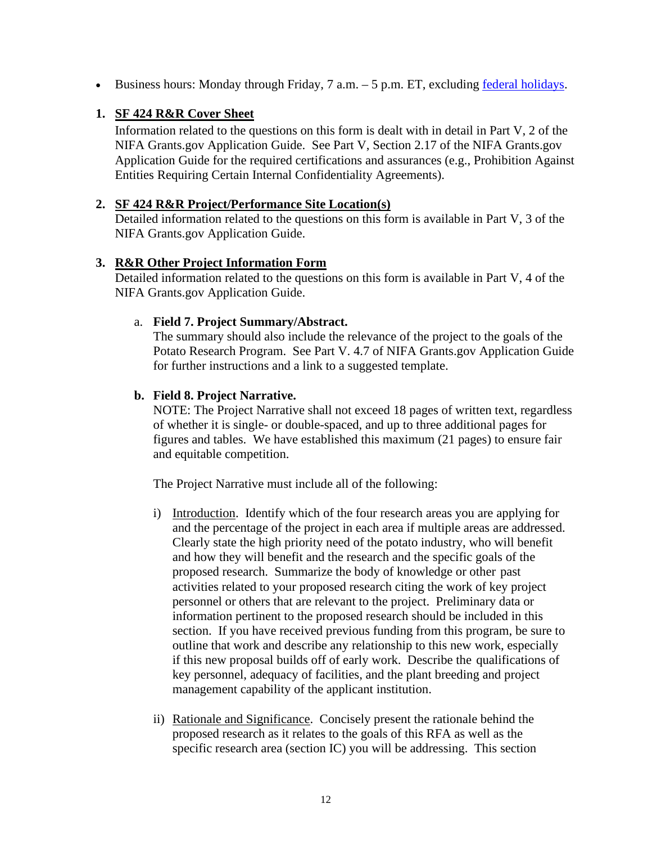• Business hours: Monday through Friday,  $7$  a.m.  $-5$  p.m. ET, excluding [federal holidays.](https://www.opm.gov/policy-data-oversight/snow-dismissal-procedures/federal-holidays/)

## **1. SF 424 R&R Cover Sheet**

Information related to the questions on this form is dealt with in detail in Part V, 2 of the NIFA Grants.gov Application Guide. See Part V, Section 2.17 of the NIFA Grants.gov Application Guide for the required certifications and assurances (e.g., Prohibition Against Entities Requiring Certain Internal Confidentiality Agreements).

#### **2. SF 424 R&R Project/Performance Site Location(s)**

Detailed information related to the questions on this form is available in Part V, 3 of the NIFA Grants.gov Application Guide.

#### **3. R&R Other Project Information Form**

Detailed information related to the questions on this form is available in Part V, 4 of the NIFA Grants.gov Application Guide.

#### a. **Field 7. Project Summary/Abstract.**

The summary should also include the relevance of the project to the goals of the Potato Research Program. See Part V. 4.7 of NIFA Grants.gov Application Guide for further instructions and a link to a suggested template.

#### **b. Field 8. Project Narrative.**

NOTE: The Project Narrative shall not exceed 18 pages of written text, regardless of whether it is single- or double-spaced, and up to three additional pages for figures and tables. We have established this maximum (21 pages) to ensure fair and equitable competition.

The Project Narrative must include all of the following:

- i) Introduction. Identify which of the four research areas you are applying for and the percentage of the project in each area if multiple areas are addressed. Clearly state the high priority need of the potato industry, who will benefit and how they will benefit and the research and the specific goals of the proposed research. Summarize the body of knowledge or other past activities related to your proposed research citing the work of key project personnel or others that are relevant to the project. Preliminary data or information pertinent to the proposed research should be included in this section. If you have received previous funding from this program, be sure to outline that work and describe any relationship to this new work, especially if this new proposal builds off of early work. Describe the qualifications of key personnel, adequacy of facilities, and the plant breeding and project management capability of the applicant institution.
- ii) Rationale and Significance. Concisely present the rationale behind the proposed research as it relates to the goals of this RFA as well as the specific research area (section IC) you will be addressing. This section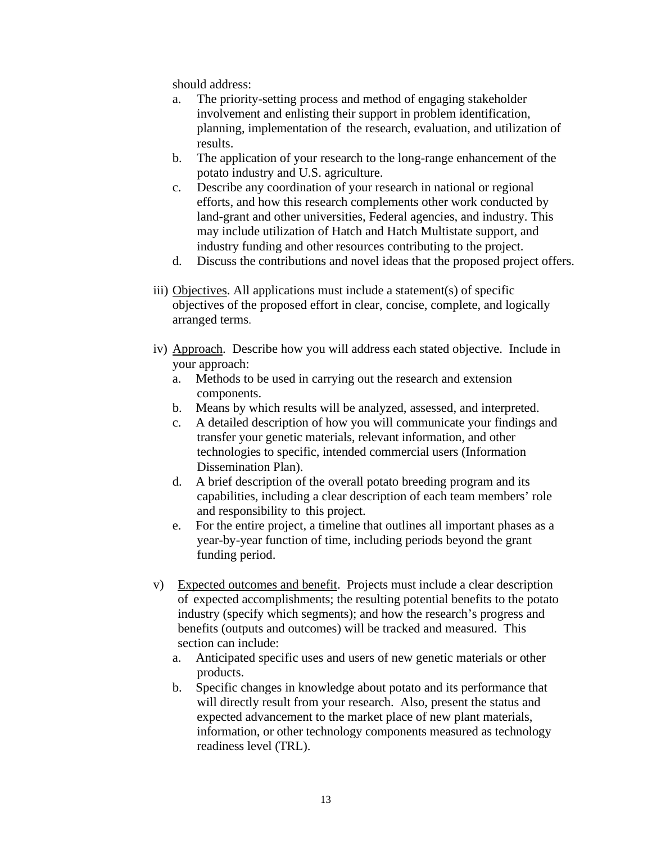should address:

- a. The priority-setting process and method of engaging stakeholder involvement and enlisting their support in problem identification, planning, implementation of the research, evaluation, and utilization of results.
- b. The application of your research to the long-range enhancement of the potato industry and U.S. agriculture.
- c. Describe any coordination of your research in national or regional efforts, and how this research complements other work conducted by land-grant and other universities, Federal agencies, and industry. This may include utilization of Hatch and Hatch Multistate support, and industry funding and other resources contributing to the project.
- d. Discuss the contributions and novel ideas that the proposed project offers.
- iii) Objectives. All applications must include a statement(s) of specific objectives of the proposed effort in clear, concise, complete, and logically arranged terms.
- iv) Approach. Describe how you will address each stated objective. Include in your approach:
	- a. Methods to be used in carrying out the research and extension components.
	- b. Means by which results will be analyzed, assessed, and interpreted.
	- c. A detailed description of how you will communicate your findings and transfer your genetic materials, relevant information, and other technologies to specific, intended commercial users (Information Dissemination Plan).
	- d. A brief description of the overall potato breeding program and its capabilities, including a clear description of each team members' role and responsibility to this project.
	- e. For the entire project, a timeline that outlines all important phases as a year-by-year function of time, including periods beyond the grant funding period.
- v) Expected outcomes and benefit. Projects must include a clear description of expected accomplishments; the resulting potential benefits to the potato industry (specify which segments); and how the research's progress and benefits (outputs and outcomes) will be tracked and measured. This section can include:
	- a. Anticipated specific uses and users of new genetic materials or other products.
	- b. Specific changes in knowledge about potato and its performance that will directly result from your research. Also, present the status and expected advancement to the market place of new plant materials, information, or other technology components measured as technology readiness level (TRL).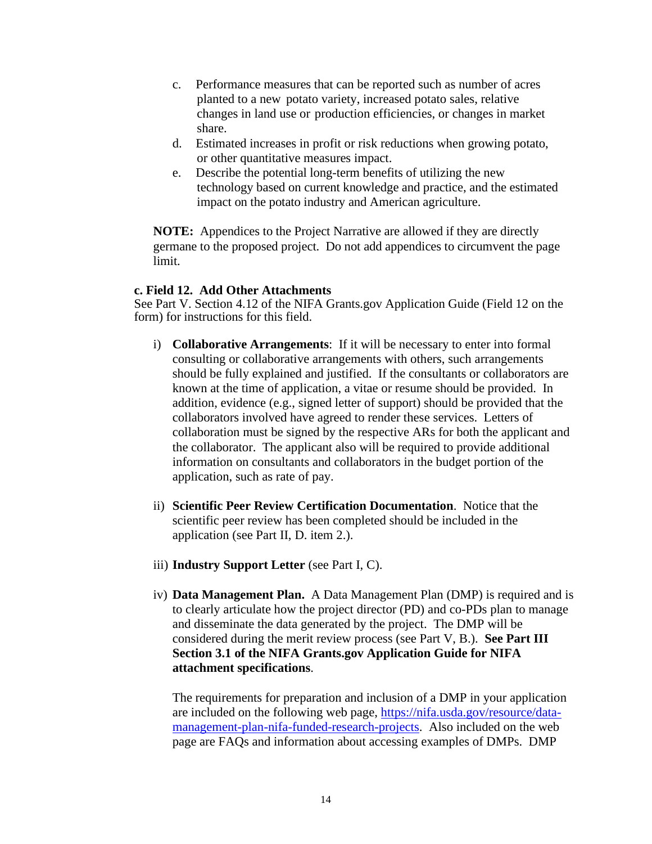- c. Performance measures that can be reported such as number of acres planted to a new potato variety, increased potato sales, relative changes in land use or production efficiencies, or changes in market share.
- d. Estimated increases in profit or risk reductions when growing potato, or other quantitative measures impact.
- e. Describe the potential long-term benefits of utilizing the new technology based on current knowledge and practice, and the estimated impact on the potato industry and American agriculture.

**NOTE:** Appendices to the Project Narrative are allowed if they are directly germane to the proposed project. Do not add appendices to circumvent the page limit.

#### **c. Field 12. Add Other Attachments**

See Part V. Section 4.12 of the NIFA Grants.gov Application Guide (Field 12 on the form) for instructions for this field.

- i) **Collaborative Arrangements**: If it will be necessary to enter into formal consulting or collaborative arrangements with others, such arrangements should be fully explained and justified. If the consultants or collaborators are known at the time of application, a vitae or resume should be provided. In addition, evidence (e.g., signed letter of support) should be provided that the collaborators involved have agreed to render these services. Letters of collaboration must be signed by the respective ARs for both the applicant and the collaborator. The applicant also will be required to provide additional information on consultants and collaborators in the budget portion of the application, such as rate of pay.
- ii) **Scientific Peer Review Certification Documentation**. Notice that the scientific peer review has been completed should be included in the application (see Part II, D. item 2.).
- iii) **Industry Support Letter** (see Part I, C).
- iv) **Data Management Plan.** A Data Management Plan (DMP) is required and is to clearly articulate how the project director (PD) and co-PDs plan to manage and disseminate the data generated by the project. The DMP will be considered during the merit review process (see Part V, B.). **See Part III Section 3.1 of the NIFA Grants.gov Application Guide for NIFA attachment specifications**.

The requirements for preparation and inclusion of a DMP in your application are included on the following web page, [https://nifa.usda.gov/resource/data](https://nifa.usda.gov/resource/data-management-plan-nifa-funded-research-projects)[management-plan-nifa-funded-research-projects.](https://nifa.usda.gov/resource/data-management-plan-nifa-funded-research-projects) Also included on the web page are FAQs and information about accessing examples of DMPs. DMP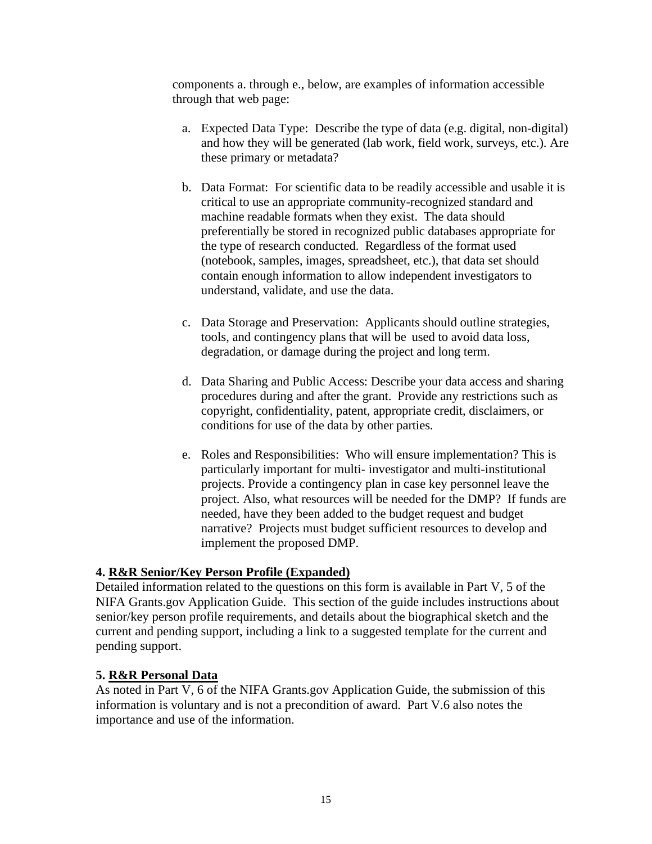components a. through e., below, are examples of information accessible through that web page:

- a. Expected Data Type: Describe the type of data (e.g. digital, non-digital) and how they will be generated (lab work, field work, surveys, etc.). Are these primary or metadata?
- b. Data Format: For scientific data to be readily accessible and usable it is critical to use an appropriate community-recognized standard and machine readable formats when they exist. The data should preferentially be stored in recognized public databases appropriate for the type of research conducted. Regardless of the format used (notebook, samples, images, spreadsheet, etc.), that data set should contain enough information to allow independent investigators to understand, validate, and use the data.
- c. Data Storage and Preservation: Applicants should outline strategies, tools, and contingency plans that will be used to avoid data loss, degradation, or damage during the project and long term.
- d. Data Sharing and Public Access: Describe your data access and sharing procedures during and after the grant. Provide any restrictions such as copyright, confidentiality, patent, appropriate credit, disclaimers, or conditions for use of the data by other parties.
- e. Roles and Responsibilities: Who will ensure implementation? This is particularly important for multi- investigator and multi-institutional projects. Provide a contingency plan in case key personnel leave the project. Also, what resources will be needed for the DMP? If funds are needed, have they been added to the budget request and budget narrative? Projects must budget sufficient resources to develop and implement the proposed DMP.

# **4. R&R Senior/Key Person Profile (Expanded)**

Detailed information related to the questions on this form is available in Part V, 5 of the NIFA Grants.gov Application Guide. This section of the guide includes instructions about senior/key person profile requirements, and details about the biographical sketch and the current and pending support, including a link to a suggested template for the current and pending support.

#### **5. R&R Personal Data**

As noted in Part V, 6 of the NIFA Grants.gov Application Guide, the submission of this information is voluntary and is not a precondition of award. Part V.6 also notes the importance and use of the information.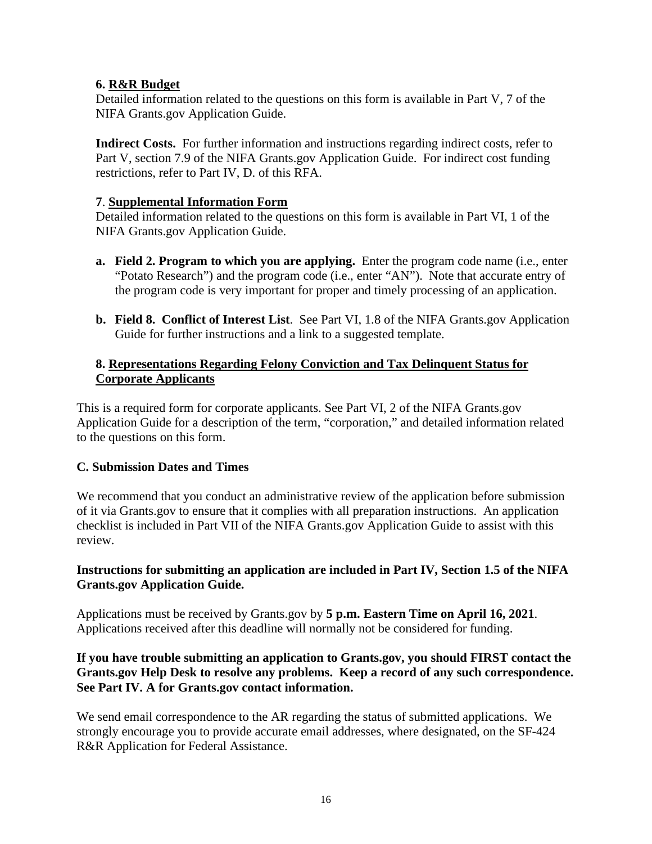## **6. R&R Budget**

Detailed information related to the questions on this form is available in Part V, 7 of the NIFA Grants.gov Application Guide.

**Indirect Costs.** For further information and instructions regarding indirect costs, refer to Part V, section 7.9 of the NIFA Grants.gov Application Guide. For indirect cost funding restrictions, refer to Part IV, D. of this RFA.

#### **7**. **Supplemental Information Form**

Detailed information related to the questions on this form is available in Part VI, 1 of the NIFA Grants.gov Application Guide.

- **a. Field 2. Program to which you are applying.** Enter the program code name (i.e., enter "Potato Research") and the program code (i.e., enter "AN"). Note that accurate entry of the program code is very important for proper and timely processing of an application.
- **b. Field 8. Conflict of Interest List**. See Part VI, 1.8 of the NIFA Grants.gov Application Guide for further instructions and a link to a suggested template.

# **8. Representations Regarding Felony Conviction and Tax Delinquent Status for Corporate Applicants**

This is a required form for corporate applicants. See Part VI, 2 of the NIFA Grants.gov Application Guide for a description of the term, "corporation," and detailed information related to the questions on this form.

#### <span id="page-15-0"></span>**C. Submission Dates and Times**

We recommend that you conduct an administrative review of the application before submission of it via Grants.gov to ensure that it complies with all preparation instructions. An application checklist is included in Part VII of the NIFA Grants.gov Application Guide to assist with this review.

#### **Instructions for submitting an application are included in Part IV, Section 1.5 of the NIFA Grants.gov Application Guide.**

Applications must be received by Grants.gov by **5 p.m. Eastern Time on April 16, 2021**. Applications received after this deadline will normally not be considered for funding.

# **If you have trouble submitting an application to Grants.gov, you should FIRST contact the Grants.gov Help Desk to resolve any problems. Keep a record of any such correspondence. See Part IV. A for Grants.gov contact information.**

We send email correspondence to the AR regarding the status of submitted applications. We strongly encourage you to provide accurate email addresses, where designated, on the SF-424 R&R Application for Federal Assistance.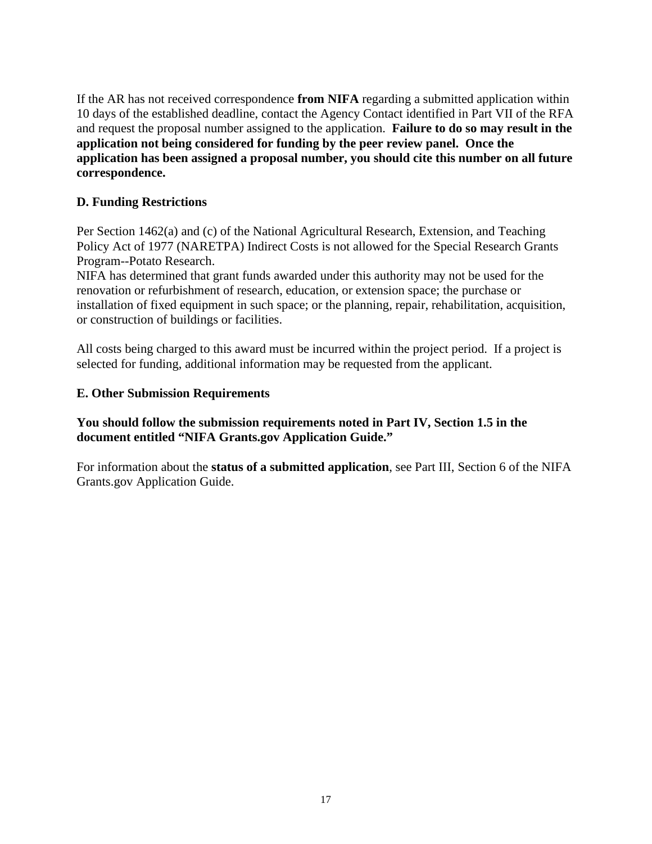If the AR has not received correspondence **from NIFA** regarding a submitted application within 10 days of the established deadline, contact the Agency Contact identified in Part VII of the RFA and request the proposal number assigned to the application. **Failure to do so may result in the application not being considered for funding by the peer review panel. Once the application has been assigned a proposal number, you should cite this number on all future correspondence.**

# <span id="page-16-0"></span>**D. Funding Restrictions**

Per Section 1462(a) and (c) of the National Agricultural Research, Extension, and Teaching Policy Act of 1977 (NARETPA) Indirect Costs is not allowed for the Special Research Grants Program--Potato Research.

NIFA has determined that grant funds awarded under this authority may not be used for the renovation or refurbishment of research, education, or extension space; the purchase or installation of fixed equipment in such space; or the planning, repair, rehabilitation, acquisition, or construction of buildings or facilities.

All costs being charged to this award must be incurred within the project period. If a project is selected for funding, additional information may be requested from the applicant.

# <span id="page-16-1"></span>**E. Other Submission Requirements**

# **You should follow the submission requirements noted in Part IV, Section 1.5 in the document entitled "NIFA Grants.gov Application Guide."**

For information about the **status of a submitted application**, see Part III, Section 6 of the NIFA Grants.gov Application Guide.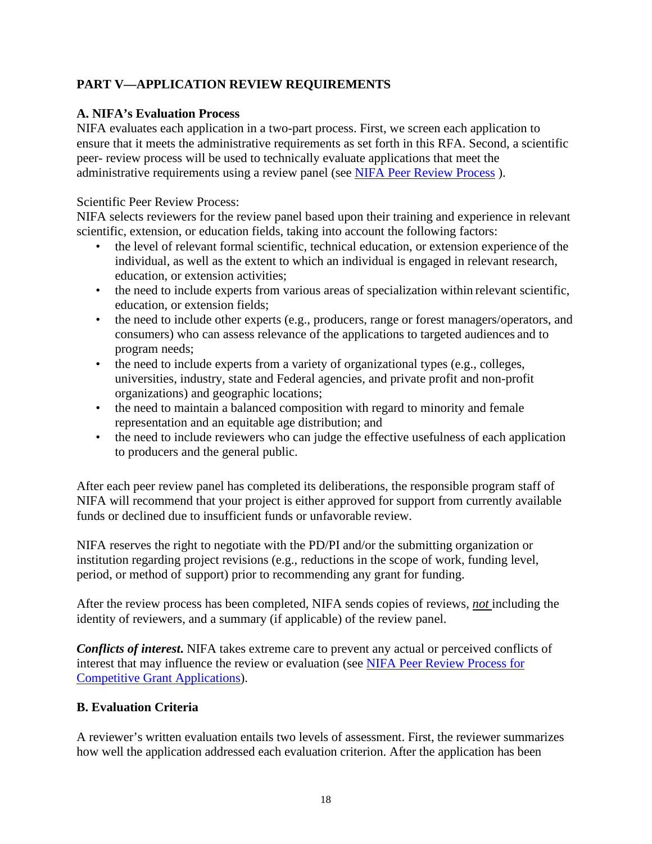# <span id="page-17-0"></span>**PART V—APPLICATION REVIEW REQUIREMENTS**

# <span id="page-17-1"></span>**A. NIFA's Evaluation Process**

NIFA evaluates each application in a two-part process. First, we screen each application to ensure that it meets the administrative requirements as set forth in this RFA. Second, a scientific peer- review process will be used to technically evaluate applications that meet the administrative requirements using a review panel (see [NIFA Peer Review Process](https://nifa.usda.gov/resource/nifa-peer-review-process-competitive-grant-applications) ).

Scientific Peer Review Process:

NIFA selects reviewers for the review panel based upon their training and experience in relevant scientific, extension, or education fields, taking into account the following factors:

- the level of relevant formal scientific, technical education, or extension experience of the individual, as well as the extent to which an individual is engaged in relevant research, education, or extension activities;
- the need to include experts from various areas of specialization within relevant scientific, education, or extension fields;
- the need to include other experts (e.g., producers, range or forest managers/operators, and consumers) who can assess relevance of the applications to targeted audiences and to program needs;
- the need to include experts from a variety of organizational types (e.g., colleges, universities, industry, state and Federal agencies, and private profit and non-profit organizations) and geographic locations;
- the need to maintain a balanced composition with regard to minority and female representation and an equitable age distribution; and
- the need to include reviewers who can judge the effective usefulness of each application to producers and the general public.

After each peer review panel has completed its deliberations, the responsible program staff of NIFA will recommend that your project is either approved for support from currently available funds or declined due to insufficient funds or unfavorable review.

NIFA reserves the right to negotiate with the PD/PI and/or the submitting organization or institution regarding project revisions (e.g., reductions in the scope of work, funding level, period, or method of support) prior to recommending any grant for funding.

After the review process has been completed, NIFA sends copies of reviews, *not* including the identity of reviewers, and a summary (if applicable) of the review panel.

*Conflicts of interest***.** NIFA takes extreme care to prevent any actual or perceived conflicts of interest that may influence the review or evaluation (see [NIFA Peer Review Process for](https://nifa.usda.gov/resource/nifa-peer-review-process-competitive-grant-applications) [Competitive Grant Applications\)](https://nifa.usda.gov/resource/nifa-peer-review-process-competitive-grant-applications).

# <span id="page-17-2"></span>**B. Evaluation Criteria**

A reviewer's written evaluation entails two levels of assessment. First, the reviewer summarizes how well the application addressed each evaluation criterion. After the application has been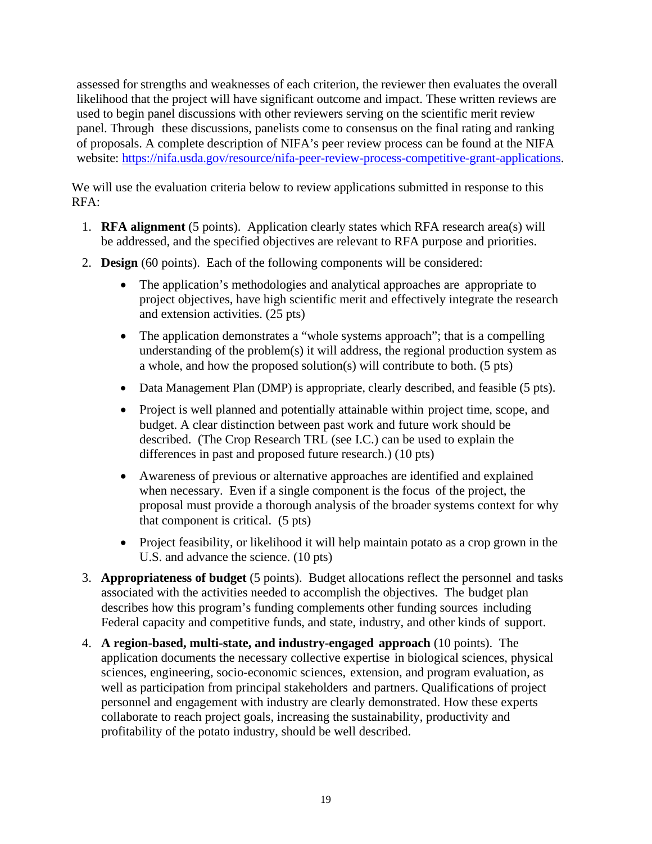assessed for strengths and weaknesses of each criterion, the reviewer then evaluates the overall likelihood that the project will have significant outcome and impact. These written reviews are used to begin panel discussions with other reviewers serving on the scientific merit review panel. Through these discussions, panelists come to consensus on the final rating and ranking of proposals. A complete description of NIFA's peer review process can be found at the NIFA website: [https://nifa.usda.gov/resource/nifa-peer-review-process-competitive-grant-applications.](https://nifa.usda.gov/resource/nifa-peer-review-process-competitive-grant-applications)

We will use the evaluation criteria below to review applications submitted in response to this RFA:

- 1. **RFA alignment** (5 points). Application clearly states which RFA research area(s) will be addressed, and the specified objectives are relevant to RFA purpose and priorities.
- 2. **Design** (60 points). Each of the following components will be considered:
	- The application's methodologies and analytical approaches are appropriate to project objectives, have high scientific merit and effectively integrate the research and extension activities. (25 pts)
	- The application demonstrates a "whole systems approach"; that is a compelling understanding of the problem(s) it will address, the regional production system as a whole, and how the proposed solution(s) will contribute to both. (5 pts)
	- Data Management Plan (DMP) is appropriate, clearly described, and feasible (5 pts).
	- Project is well planned and potentially attainable within project time, scope, and budget. A clear distinction between past work and future work should be described. (The Crop Research TRL (see I.C.) can be used to explain the differences in past and proposed future research.) (10 pts)
	- Awareness of previous or alternative approaches are identified and explained when necessary. Even if a single component is the focus of the project, the proposal must provide a thorough analysis of the broader systems context for why that component is critical. (5 pts)
	- Project feasibility, or likelihood it will help maintain potato as a crop grown in the U.S. and advance the science. (10 pts)
- 3. **Appropriateness of budget** (5 points). Budget allocations reflect the personnel and tasks associated with the activities needed to accomplish the objectives. The budget plan describes how this program's funding complements other funding sources including Federal capacity and competitive funds, and state, industry, and other kinds of support.
- 4. **A region-based, multi-state, and industry-engaged approach** (10 points). The application documents the necessary collective expertise in biological sciences, physical sciences, engineering, socio-economic sciences, extension, and program evaluation, as well as participation from principal stakeholders and partners. Qualifications of project personnel and engagement with industry are clearly demonstrated. How these experts collaborate to reach project goals, increasing the sustainability, productivity and profitability of the potato industry, should be well described.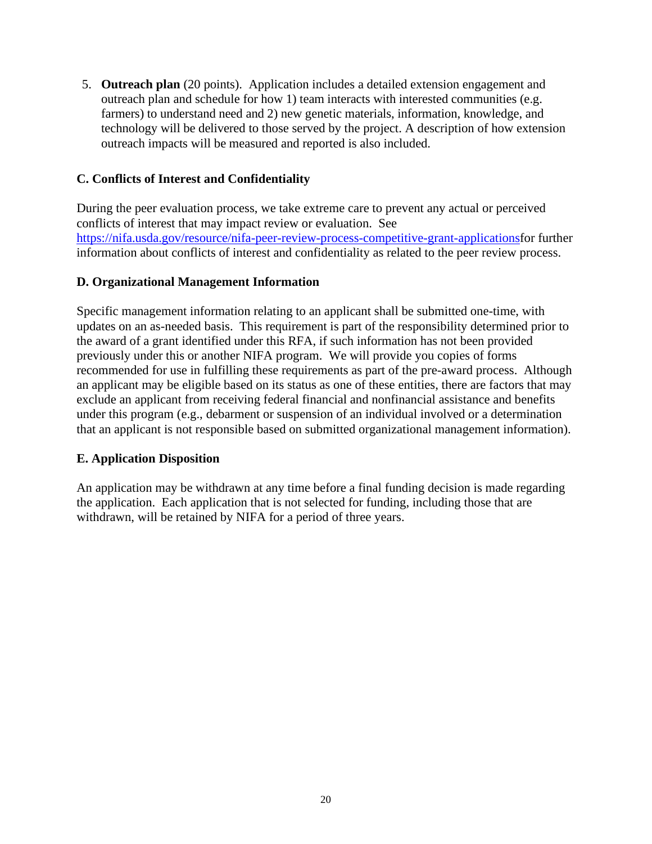5. **Outreach plan** (20 points). Application includes a detailed extension engagement and outreach plan and schedule for how 1) team interacts with interested communities (e.g. farmers) to understand need and 2) new genetic materials, information, knowledge, and technology will be delivered to those served by the project. A description of how extension outreach impacts will be measured and reported is also included.

# <span id="page-19-0"></span>**C. Conflicts of Interest and Confidentiality**

During the peer evaluation process, we take extreme care to prevent any actual or perceived conflicts of interest that may impact review or evaluation. See [https://nifa.usda.gov/resource/nifa-peer-review-process-competitive-grant-applicationsf](https://nifa.usda.gov/resource/nifa-peer-review-process-competitive-grant-applications)or further information about conflicts of interest and confidentiality as related to the peer review process.

# <span id="page-19-1"></span>**D. Organizational Management Information**

Specific management information relating to an applicant shall be submitted one-time, with updates on an as-needed basis. This requirement is part of the responsibility determined prior to the award of a grant identified under this RFA, if such information has not been provided previously under this or another NIFA program. We will provide you copies of forms recommended for use in fulfilling these requirements as part of the pre-award process. Although an applicant may be eligible based on its status as one of these entities, there are factors that may exclude an applicant from receiving federal financial and nonfinancial assistance and benefits under this program (e.g., debarment or suspension of an individual involved or a determination that an applicant is not responsible based on submitted organizational management information).

# <span id="page-19-2"></span>**E. Application Disposition**

An application may be withdrawn at any time before a final funding decision is made regarding the application. Each application that is not selected for funding, including those that are withdrawn, will be retained by NIFA for a period of three years.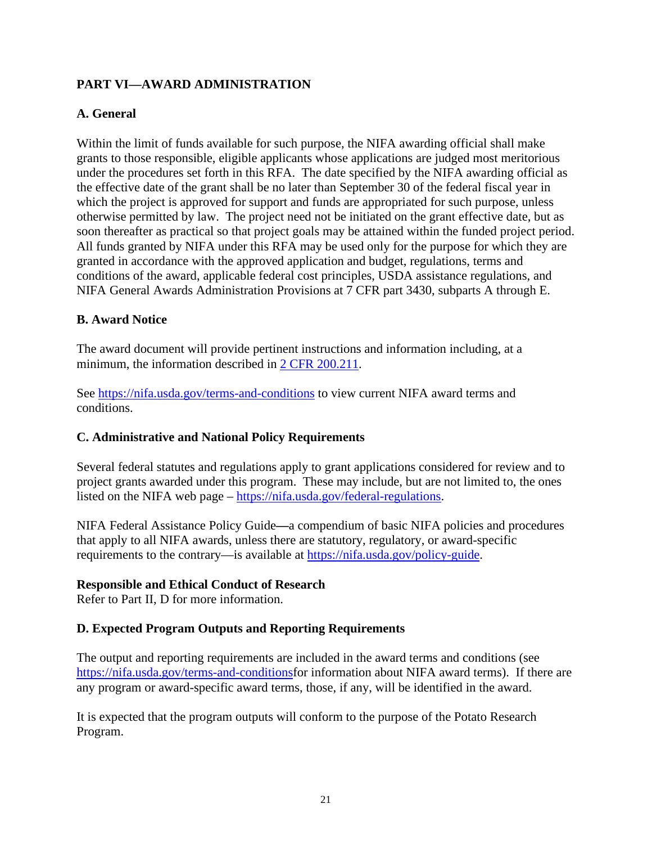# <span id="page-20-0"></span>**PART VI—AWARD ADMINISTRATION**

# <span id="page-20-1"></span>**A. General**

Within the limit of funds available for such purpose, the NIFA awarding official shall make grants to those responsible, eligible applicants whose applications are judged most meritorious under the procedures set forth in this RFA. The date specified by the NIFA awarding official as the effective date of the grant shall be no later than September 30 of the federal fiscal year in which the project is approved for support and funds are appropriated for such purpose, unless otherwise permitted by law. The project need not be initiated on the grant effective date, but as soon thereafter as practical so that project goals may be attained within the funded project period. All funds granted by NIFA under this RFA may be used only for the purpose for which they are granted in accordance with the approved application and budget, regulations, terms and conditions of the award, applicable federal cost principles, USDA assistance regulations, and NIFA General Awards Administration Provisions at 7 CFR part 3430, subparts A through E.

# <span id="page-20-2"></span>**B. Award Notice**

The award document will provide pertinent instructions and information including, at a minimum, the information described in [2 CFR 200.211.](https://www.ecfr.gov/cgi-bin/text-idx?SID=50619bfda4561c5f6884ec53dba5f244&mc=true&node=se2.1.200_1211&rgn=div8)

See<https://nifa.usda.gov/terms-and-conditions> to view current NIFA award terms and conditions.

# <span id="page-20-3"></span>**C. Administrative and National Policy Requirements**

Several federal statutes and regulations apply to grant applications considered for review and to project grants awarded under this program. These may include, but are not limited to, the ones listed on the NIFA web page – [https://nifa.usda.gov/federal-regulations.](https://nifa.usda.gov/federal-regulations)

NIFA Federal Assistance Policy Guide**—**a compendium of basic NIFA policies and procedures that apply to all NIFA awards, unless there are statutory, regulatory, or award-specific requirements to the contrary—is available at [https://nifa.usda.gov/policy-guide.](https://nifa.usda.gov/policy-guide)

# **Responsible and Ethical Conduct of Research**

Refer to Part II, D for more information.

# <span id="page-20-4"></span>**D. Expected Program Outputs and Reporting Requirements**

The output and reporting requirements are included in the award terms and conditions (see [https://nifa.usda.gov/terms-and-conditionsf](https://nifa.usda.gov/terms-and-conditions)or information about NIFA award terms). If there are any program or award-specific award terms, those, if any, will be identified in the award.

It is expected that the program outputs will conform to the purpose of the Potato Research Program.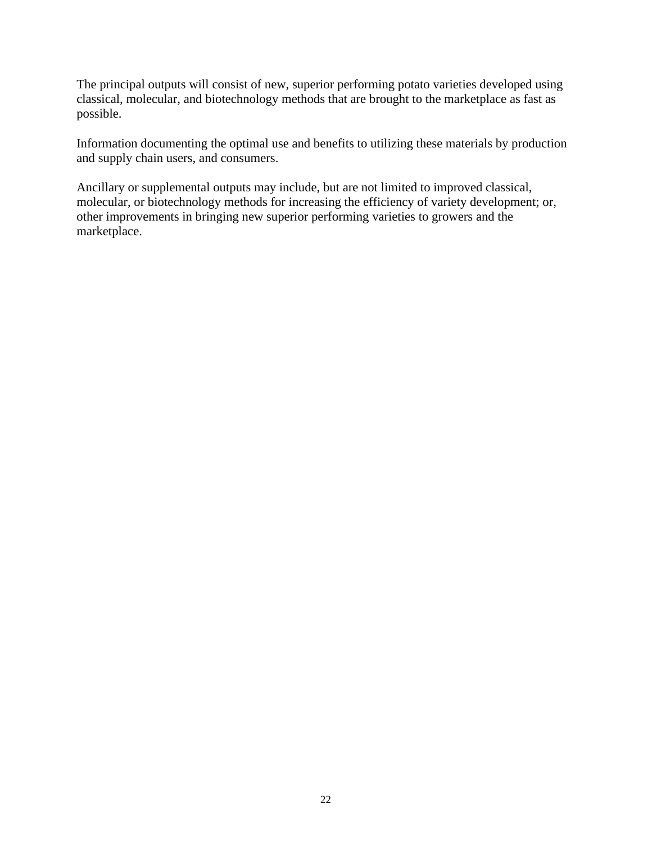The principal outputs will consist of new, superior performing potato varieties developed using classical, molecular, and biotechnology methods that are brought to the marketplace as fast as possible.

Information documenting the optimal use and benefits to utilizing these materials by production and supply chain users, and consumers.

Ancillary or supplemental outputs may include, but are not limited to improved classical, molecular, or biotechnology methods for increasing the efficiency of variety development; or, other improvements in bringing new superior performing varieties to growers and the marketplace.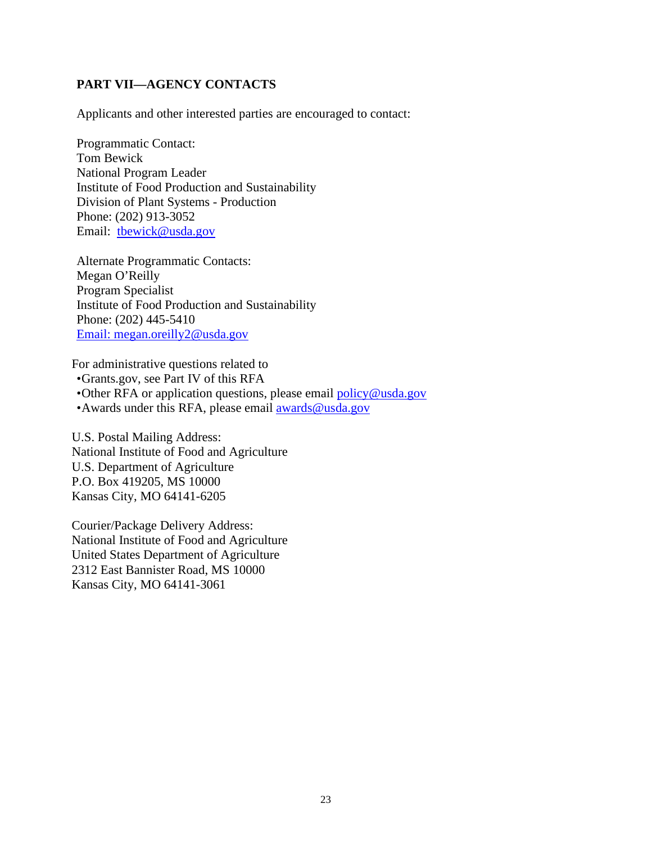# <span id="page-22-0"></span>**PART VII—AGENCY CONTACTS**

Applicants and other interested parties are encouraged to contact:

Programmatic Contact: Tom Bewick National Program Leader Institute of Food Production and Sustainability Division of Plant Systems - Production Phone: (202) 913-3052 Email: [tbewick@usda.gov](mailto:tbewick@usda.gov)

Alternate Programmatic Contacts: Megan O'Reilly Program Specialist Institute of Food Production and Sustainability Phone: (202) 445-5410 [Email:](mailto:Email) [megan.oreilly2@usda.gov](mailto:megan.oreilly2@usda.gov)

For administrative questions related to •Grants.gov, see Part IV of this RFA •Other RFA or application questions, please email [policy@usda.gov](mailto:policy@usda.gov) •Awards under this RFA, please email **awards@usda.gov** 

U.S. Postal Mailing Address: National Institute of Food and Agriculture U.S. Department of Agriculture P.O. Box 419205, MS 10000 Kansas City, MO 64141-6205

<span id="page-22-1"></span>Courier/Package Delivery Address: National Institute of Food and Agriculture United States Department of Agriculture 2312 East Bannister Road, MS 10000 Kansas City, MO 64141-3061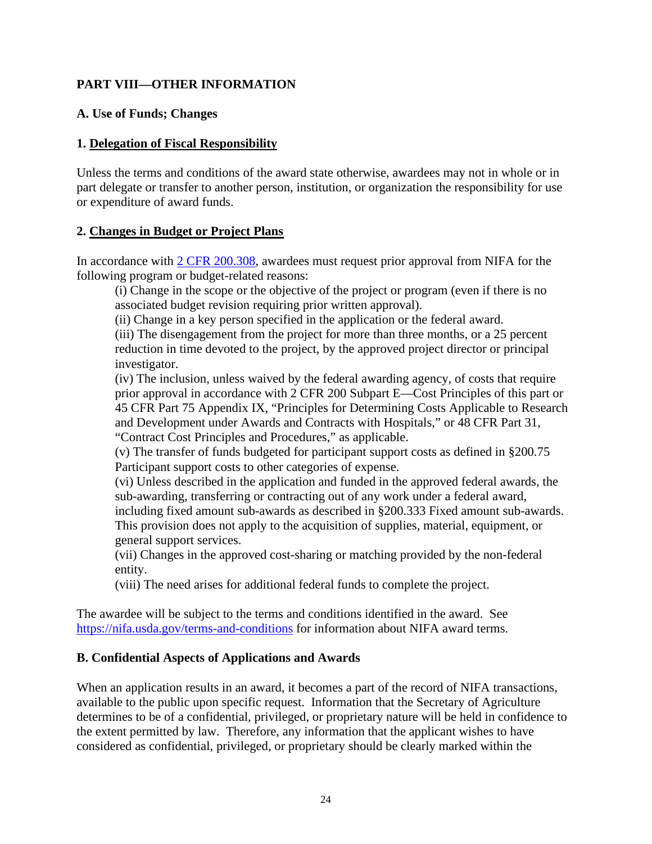# **PART VIII—OTHER INFORMATION**

## <span id="page-23-0"></span>**A. Use of Funds; Changes**

#### **1. Delegation of Fiscal Responsibility**

Unless the terms and conditions of the award state otherwise, awardees may not in whole or in part delegate or transfer to another person, institution, or organization the responsibility for use or expenditure of award funds.

#### **2. Changes in Budget or Project Plans**

In accordance with [2 CFR 200.308,](https://www.ecfr.gov/cgi-bin/text-idx?SID=3af89506559b05297e7d0334cb283e24&mc=true&node=se2.1.200_1308&rgn=div8) awardees must request prior approval from NIFA for the following program or budget-related reasons:

(i) Change in the scope or the objective of the project or program (even if there is no associated budget revision requiring prior written approval).

(ii) Change in a key person specified in the application or the federal award.

(iii) The disengagement from the project for more than three months, or a 25 percent reduction in time devoted to the project, by the approved project director or principal investigator.

(iv) The inclusion, unless waived by the federal awarding agency, of costs that require prior approval in accordance with 2 CFR 200 Subpart E—Cost Principles of this part or 45 CFR Part 75 Appendix IX, "Principles for Determining Costs Applicable to Research and Development under Awards and Contracts with Hospitals," or 48 CFR Part 31, "Contract Cost Principles and Procedures," as applicable.

(v) The transfer of funds budgeted for participant support costs as defined in §200.75 Participant support costs to other categories of expense.

(vi) Unless described in the application and funded in the approved federal awards, the sub-awarding, transferring or contracting out of any work under a federal award, including fixed amount sub-awards as described in §200.333 Fixed amount sub-awards. This provision does not apply to the acquisition of supplies, material, equipment, or general support services.

(vii) Changes in the approved cost-sharing or matching provided by the non-federal entity.

(viii) The need arises for additional federal funds to complete the project.

The awardee will be subject to the terms and conditions identified in the award. See <https://nifa.usda.gov/terms-and-conditions> for information about NIFA award terms.

# <span id="page-23-1"></span>**B. Confidential Aspects of Applications and Awards**

When an application results in an award, it becomes a part of the record of NIFA transactions, available to the public upon specific request. Information that the Secretary of Agriculture determines to be of a confidential, privileged, or proprietary nature will be held in confidence to the extent permitted by law. Therefore, any information that the applicant wishes to have considered as confidential, privileged, or proprietary should be clearly marked within the